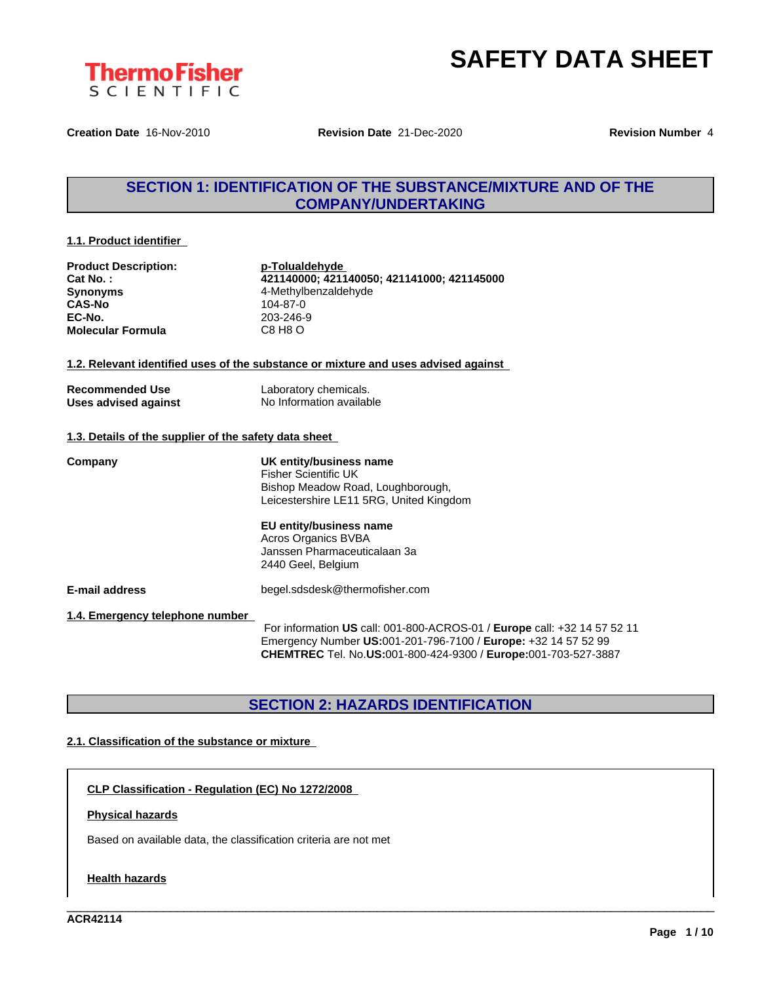

**Creation Date** 16-Nov-2010 **Revision Date** 21-Dec-2020 **Revision Number** 4

## **SECTION 1: IDENTIFICATION OF THE SUBSTANCE/MIXTURE AND OF THE COMPANY/UNDERTAKING**

#### **1.1. Product identifier**

**Product Description: p-Tolualdehyde Synonyms** 4-Methylbenzaldehyde **CAS-No** 104-87-0 **EC-No.** 203-246-9 **Molecular Formula** C8 H8 O

**Cat No. : 421140000; 421140050; 421141000; 421145000**

#### **1.2. Relevant identified uses of the substance or mixture and uses advised against**

| <b>Recommended Use</b> |  |
|------------------------|--|
| Uses advised against   |  |

Laboratory chemicals. **No Information available** 

#### **1.3. Details of the supplier of the safety data sheet**

**Company UK entity/business name** Fisher Scientific UK Bishop Meadow Road, Loughborough, Leicestershire LE11 5RG, United Kingdom

### **EU entity/business name** Acros Organics BVBA

Janssen Pharmaceuticalaan 3a 2440 Geel, Belgium

**E-mail address** begel.sdsdesk@thermofisher.com

**1.4. Emergency telephone number**

For information **US** call: 001-800-ACROS-01 / **Europe** call: +32 14 57 52 11 Emergency Number **US:**001-201-796-7100 / **Europe:** +32 14 57 52 99 **CHEMTREC** Tel. No.**US:**001-800-424-9300 / **Europe:**001-703-527-3887

\_\_\_\_\_\_\_\_\_\_\_\_\_\_\_\_\_\_\_\_\_\_\_\_\_\_\_\_\_\_\_\_\_\_\_\_\_\_\_\_\_\_\_\_\_\_\_\_\_\_\_\_\_\_\_\_\_\_\_\_\_\_\_\_\_\_\_\_\_\_\_\_\_\_\_\_\_\_\_\_\_\_\_\_\_\_\_\_\_\_\_\_\_\_

## **SECTION 2: HAZARDS IDENTIFICATION**

### **2.1. Classification of the substance or mixture**

**CLP Classification - Regulation (EC) No 1272/2008**

### **Physical hazards**

Based on available data, the classification criteria are not met

#### **Health hazards**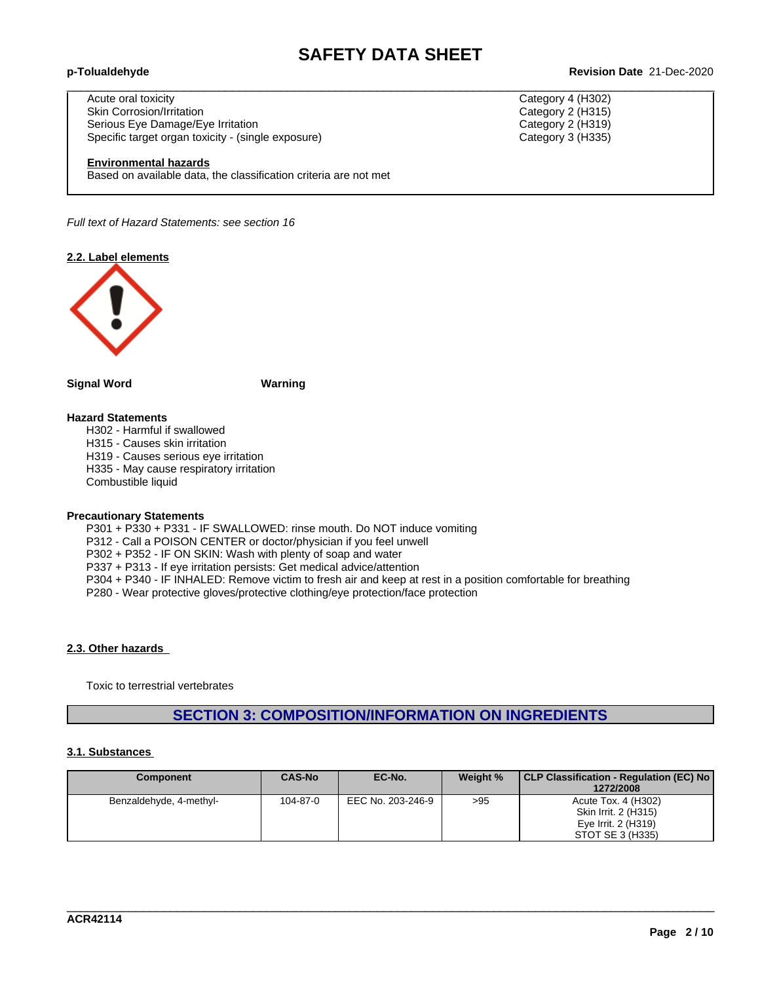$\_$  ,  $\_$  ,  $\_$  ,  $\_$  ,  $\_$  ,  $\_$  ,  $\_$  ,  $\_$  ,  $\_$  ,  $\_$  ,  $\_$  ,  $\_$  ,  $\_$  ,  $\_$  ,  $\_$  ,  $\_$  ,  $\_$  ,  $\_$  ,  $\_$  ,  $\_$  ,  $\_$  ,  $\_$  ,  $\_$  ,  $\_$  ,  $\_$  ,  $\_$  ,  $\_$  ,  $\_$  ,  $\_$  ,  $\_$  ,  $\_$  ,  $\_$  ,  $\_$  ,  $\_$  ,  $\_$  ,  $\_$  ,  $\_$  ,

#### **p-Tolualdehyde Revision Date** 21-Dec-2020

Acute oral toxicity Category 4 (H302) Skin Corrosion/Irritation Category 2 (H315) Serious Eye Damage/Eye Irritation Category 2 (H319) Specific target organ toxicity - (single exposure) Category 3 (H335) Category 3 (H335)

#### **Environmental hazards**

Based on available data, the classification criteria are not met

*Full text of Hazard Statements: see section 16*

**2.2. Label elements**



#### **Signal Word Warning**

#### **Hazard Statements**

H302 - Harmful if swallowed H315 - Causes skin irritation H319 - Causes serious eye irritation H335 - May cause respiratory irritation Combustible liquid

#### **Precautionary Statements**

P301 + P330 + P331 - IF SWALLOWED: rinse mouth. Do NOT induce vomiting

P312 - Call a POISON CENTER or doctor/physician if you feel unwell

P302 + P352 - IF ON SKIN: Wash with plenty of soap and water

P337 + P313 - If eye irritation persists: Get medical advice/attention

P304 + P340 - IF INHALED: Remove victim to fresh air and keep atrest in a position comfortable for breathing

P280 - Wear protective gloves/protective clothing/eye protection/face protection

#### **2.3. Other hazards**

Toxic to terrestrial vertebrates

# **SECTION 3: COMPOSITION/INFORMATION ON INGREDIENTS**

#### **3.1. Substances**

| <b>Component</b>        | <b>CAS-No</b> | EC-No.            | Weight % | CLP Classification - Regulation (EC) No<br>1272/2008 |
|-------------------------|---------------|-------------------|----------|------------------------------------------------------|
| Benzaldehyde, 4-methyl- | 104-87-0      | EEC No. 203-246-9 | >95      | Acute Tox. 4 (H302)                                  |
|                         |               |                   |          | Skin Irrit. 2 (H315)                                 |
|                         |               |                   |          | Eye Irrit. 2 (H319)                                  |
|                         |               |                   |          | STOT SE 3 (H335)                                     |

\_\_\_\_\_\_\_\_\_\_\_\_\_\_\_\_\_\_\_\_\_\_\_\_\_\_\_\_\_\_\_\_\_\_\_\_\_\_\_\_\_\_\_\_\_\_\_\_\_\_\_\_\_\_\_\_\_\_\_\_\_\_\_\_\_\_\_\_\_\_\_\_\_\_\_\_\_\_\_\_\_\_\_\_\_\_\_\_\_\_\_\_\_\_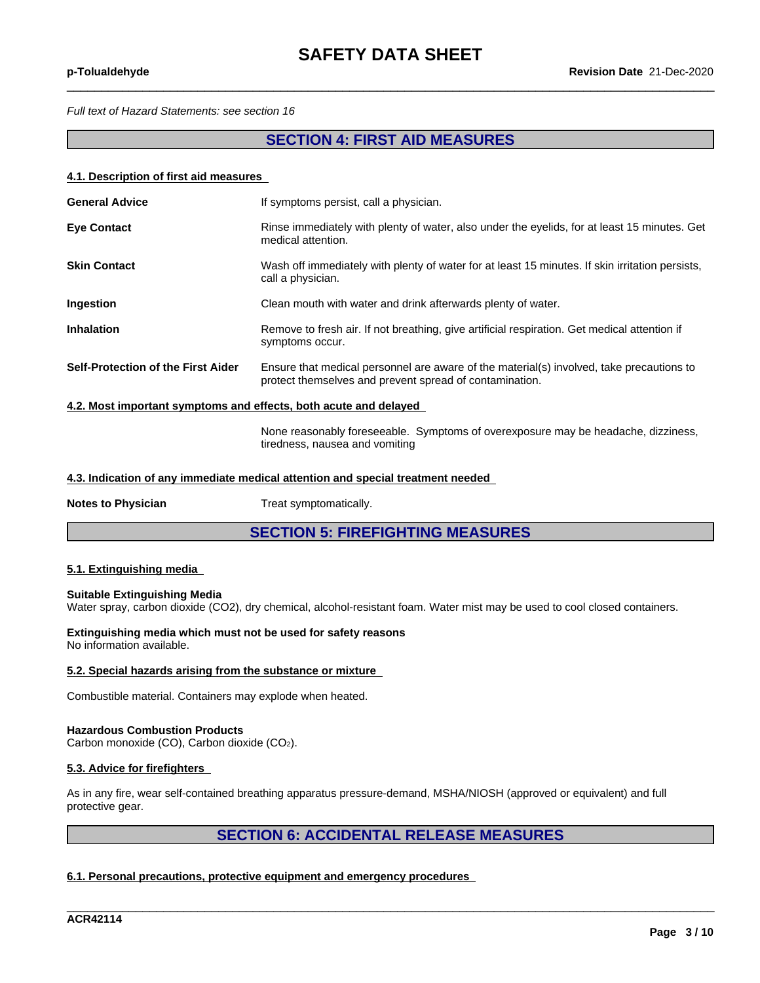$\_$  ,  $\_$  ,  $\_$  ,  $\_$  ,  $\_$  ,  $\_$  ,  $\_$  ,  $\_$  ,  $\_$  ,  $\_$  ,  $\_$  ,  $\_$  ,  $\_$  ,  $\_$  ,  $\_$  ,  $\_$  ,  $\_$  ,  $\_$  ,  $\_$  ,  $\_$  ,  $\_$  ,  $\_$  ,  $\_$  ,  $\_$  ,  $\_$  ,  $\_$  ,  $\_$  ,  $\_$  ,  $\_$  ,  $\_$  ,  $\_$  ,  $\_$  ,  $\_$  ,  $\_$  ,  $\_$  ,  $\_$  ,  $\_$  ,

*Full text of Hazard Statements: see section 16*

## **SECTION 4: FIRST AID MEASURES**

#### **4.1. Description of first aid measures**

| <b>General Advice</b>                                            | If symptoms persist, call a physician.                                                                                                              |
|------------------------------------------------------------------|-----------------------------------------------------------------------------------------------------------------------------------------------------|
| <b>Eye Contact</b>                                               | Rinse immediately with plenty of water, also under the eyelids, for at least 15 minutes. Get<br>medical attention.                                  |
| <b>Skin Contact</b>                                              | Wash off immediately with plenty of water for at least 15 minutes. If skin irritation persists,<br>call a physician.                                |
| <b>Ingestion</b>                                                 | Clean mouth with water and drink afterwards plenty of water.                                                                                        |
| <b>Inhalation</b>                                                | Remove to fresh air. If not breathing, give artificial respiration. Get medical attention if<br>symptoms occur.                                     |
| Self-Protection of the First Aider                               | Ensure that medical personnel are aware of the material(s) involved, take precautions to<br>protect themselves and prevent spread of contamination. |
| 4.2. Most important symptoms and effects, both acute and delayed |                                                                                                                                                     |

None reasonably foreseeable. Symptoms of overexposure may be headache, dizziness, tiredness, nausea and vomiting

#### **4.3. Indication of any immediate medical attention and special treatment needed**

**Notes to Physician** Treat symptomatically.

**SECTION 5: FIREFIGHTING MEASURES**

#### **5.1. Extinguishing media**

#### **Suitable Extinguishing Media**

Water spray, carbon dioxide (CO2), dry chemical, alcohol-resistant foam. Water mist may be used to cool closed containers.

#### **Extinguishing media which must not be used for safety reasons** No information available.

#### **5.2. Special hazards arising from the substance or mixture**

Combustible material. Containers may explode when heated.

#### **Hazardous Combustion Products**

Carbon monoxide (CO), Carbon dioxide (CO2).

#### **5.3. Advice for firefighters**

As in any fire, wear self-contained breathing apparatus pressure-demand, MSHA/NIOSH (approved or equivalent) and full protective gear.

# **SECTION 6: ACCIDENTAL RELEASE MEASURES**

\_\_\_\_\_\_\_\_\_\_\_\_\_\_\_\_\_\_\_\_\_\_\_\_\_\_\_\_\_\_\_\_\_\_\_\_\_\_\_\_\_\_\_\_\_\_\_\_\_\_\_\_\_\_\_\_\_\_\_\_\_\_\_\_\_\_\_\_\_\_\_\_\_\_\_\_\_\_\_\_\_\_\_\_\_\_\_\_\_\_\_\_\_\_

#### **6.1. Personal precautions, protective equipment and emergency procedures**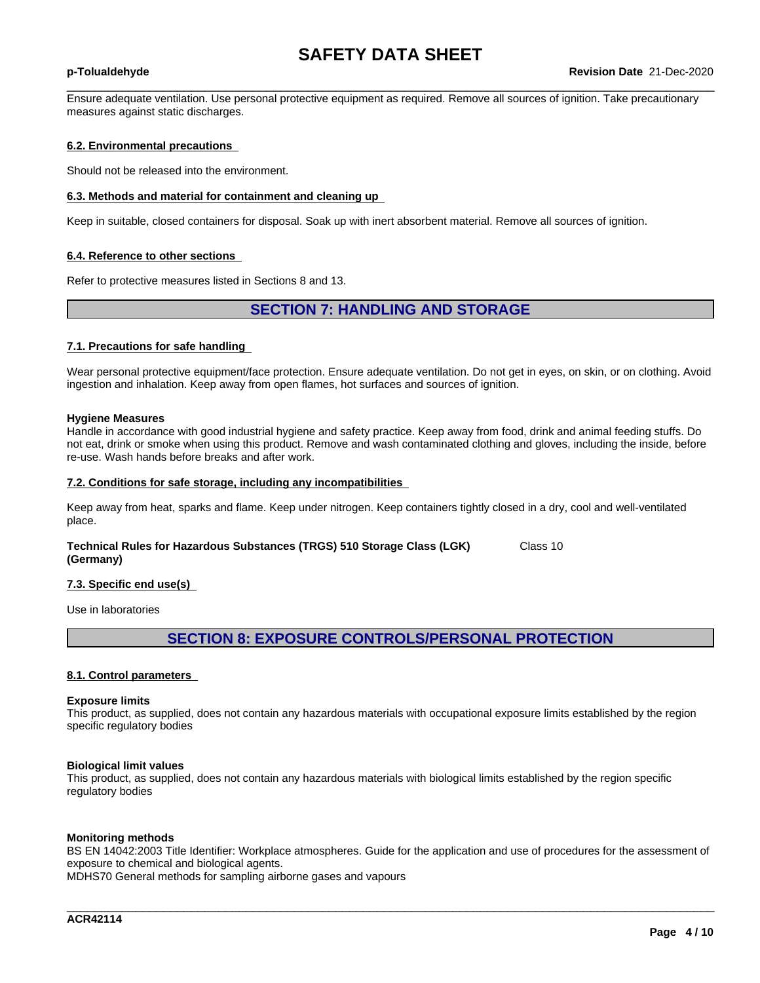$\_$  ,  $\_$  ,  $\_$  ,  $\_$  ,  $\_$  ,  $\_$  ,  $\_$  ,  $\_$  ,  $\_$  ,  $\_$  ,  $\_$  ,  $\_$  ,  $\_$  ,  $\_$  ,  $\_$  ,  $\_$  ,  $\_$  ,  $\_$  ,  $\_$  ,  $\_$  ,  $\_$  ,  $\_$  ,  $\_$  ,  $\_$  ,  $\_$  ,  $\_$  ,  $\_$  ,  $\_$  ,  $\_$  ,  $\_$  ,  $\_$  ,  $\_$  ,  $\_$  ,  $\_$  ,  $\_$  ,  $\_$  ,  $\_$  ,

Ensure adequate ventilation. Use personal protective equipment as required. Remove all sources of ignition. Take precautionary measures against static discharges.

#### **6.2. Environmental precautions**

Should not be released into the environment.

#### **6.3. Methods and material for containment and cleaning up**

Keep in suitable, closed containers for disposal. Soak up with inert absorbent material. Remove all sources of ignition.

#### **6.4. Reference to other sections**

Refer to protective measures listed in Sections 8 and 13.

### **SECTION 7: HANDLING AND STORAGE**

#### **7.1. Precautions for safe handling**

Wear personal protective equipment/face protection. Ensure adequate ventilation. Do not get in eyes, on skin, or on clothing. Avoid ingestion and inhalation. Keep away from open flames, hot surfaces and sources of ignition.

#### **Hygiene Measures**

Handle in accordance with good industrial hygiene and safety practice. Keep away from food, drink and animal feeding stuffs. Do not eat, drink or smoke when using this product. Remove and wash contaminated clothing and gloves, including the inside, before re-use. Wash hands before breaks and after work.

#### **7.2. Conditions for safe storage, including any incompatibilities**

Keep away from heat, sparks and flame. Keep under nitrogen. Keep containers tightly closed in a dry, cool and well-ventilated place.

**Technical Rules for Hazardous Substances (TRGS) 510 Storage Class (LGK) (Germany)** Class 10

#### **7.3. Specific end use(s)**

Use in laboratories

## **SECTION 8: EXPOSURE CONTROLS/PERSONAL PROTECTION**

#### **8.1. Control parameters**

#### **Exposure limits**

This product, as supplied, does not contain any hazardous materials with occupational exposure limits established by the region specific regulatory bodies

#### **Biological limit values**

This product, as supplied, does not contain any hazardous materials with biological limits established by the region specific regulatory bodies

#### **Monitoring methods**

BS EN 14042:2003 Title Identifier: Workplace atmospheres. Guide for the application and use of procedures for the assessment of exposure to chemical and biological agents.

\_\_\_\_\_\_\_\_\_\_\_\_\_\_\_\_\_\_\_\_\_\_\_\_\_\_\_\_\_\_\_\_\_\_\_\_\_\_\_\_\_\_\_\_\_\_\_\_\_\_\_\_\_\_\_\_\_\_\_\_\_\_\_\_\_\_\_\_\_\_\_\_\_\_\_\_\_\_\_\_\_\_\_\_\_\_\_\_\_\_\_\_\_\_

MDHS70 General methods for sampling airborne gases and vapours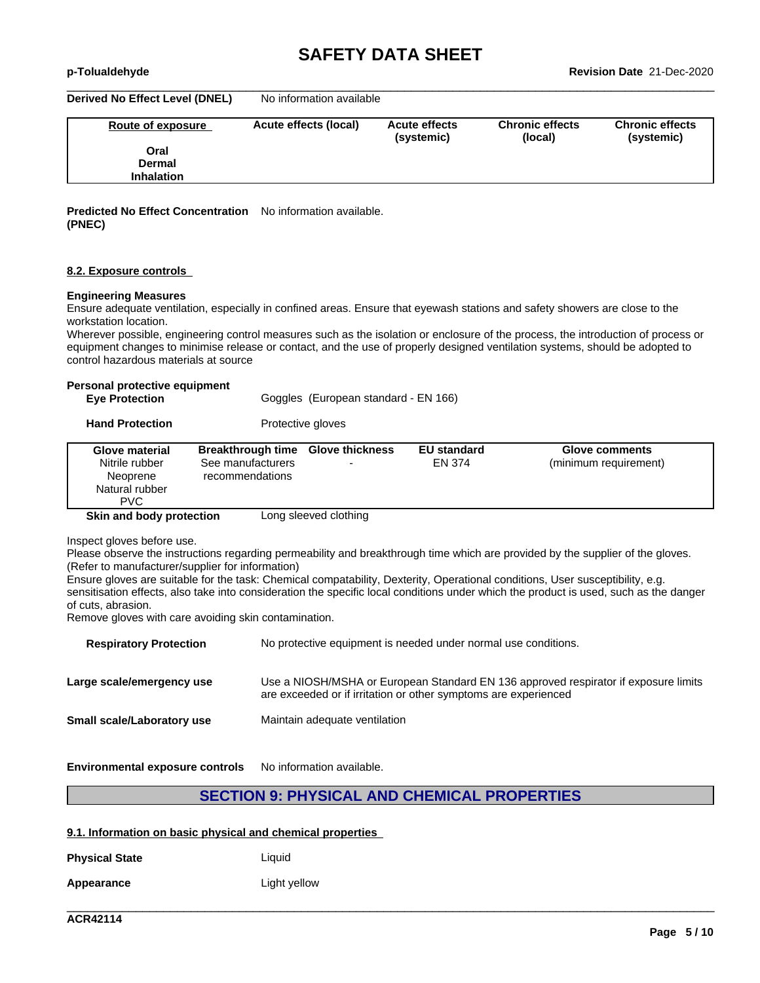**Derived No Effect Level (DNEL)** No information available

| Route of exposure | Acute effects (local) | <b>Acute effects</b><br>(systemic) | <b>Chronic effects</b><br>(local) | <b>Chronic effects</b><br>(systemic) |
|-------------------|-----------------------|------------------------------------|-----------------------------------|--------------------------------------|
| Oral              |                       |                                    |                                   |                                      |
| <b>Dermal</b>     |                       |                                    |                                   |                                      |
| <b>Inhalation</b> |                       |                                    |                                   |                                      |

 $\_$  ,  $\_$  ,  $\_$  ,  $\_$  ,  $\_$  ,  $\_$  ,  $\_$  ,  $\_$  ,  $\_$  ,  $\_$  ,  $\_$  ,  $\_$  ,  $\_$  ,  $\_$  ,  $\_$  ,  $\_$  ,  $\_$  ,  $\_$  ,  $\_$  ,  $\_$  ,  $\_$  ,  $\_$  ,  $\_$  ,  $\_$  ,  $\_$  ,  $\_$  ,  $\_$  ,  $\_$  ,  $\_$  ,  $\_$  ,  $\_$  ,  $\_$  ,  $\_$  ,  $\_$  ,  $\_$  ,  $\_$  ,  $\_$  ,

**Predicted No Effect Concentration** No information available. **(PNEC)**

#### **8.2. Exposure controls**

#### **Engineering Measures**

Ensure adequate ventilation, especially in confined areas. Ensure that eyewash stations and safety showers are close to the workstation location.

Wherever possible, engineering control measures such as the isolation or enclosure of the process, the introduction of process or equipment changes to minimise release or contact, and the use of properly designed ventilation systems, should be adopted to control hazardous materials at source

#### **Personal protective equipment**

| <b>Eye Protection</b> | Goggles (European standard - EN 166) |  |
|-----------------------|--------------------------------------|--|
|-----------------------|--------------------------------------|--|

**Hand Protection** Protective gloves

| <b>Glove material</b><br>Nitrile rubber<br>Neoprene<br>Natural rubber<br><b>PVC</b> | Breakthrough time Glove thickness<br>See manufacturers<br>recommendations | $\overline{\phantom{0}}$ | <b>EU standard</b><br>EN 374 | <b>Glove comments</b><br>(minimum requirement) |
|-------------------------------------------------------------------------------------|---------------------------------------------------------------------------|--------------------------|------------------------------|------------------------------------------------|
| Skin and body protection                                                            |                                                                           | Long sleeved clothing    |                              |                                                |

Inspect gloves before use.

Please observe the instructions regarding permeability and breakthrough time which are provided by the supplier of the gloves. (Refer to manufacturer/supplier for information)

Ensure gloves are suitable for the task: Chemical compatability, Dexterity, Operational conditions, User susceptibility, e.g. sensitisation effects, also take into consideration the specific local conditions under which the product is used, such as the danger of cuts, abrasion.

Remove gloves with care avoiding skin contamination.

| <b>Respiratory Protection</b> | No protective equipment is needed under normal use conditions.                                                                                         |
|-------------------------------|--------------------------------------------------------------------------------------------------------------------------------------------------------|
| Large scale/emergency use     | Use a NIOSH/MSHA or European Standard EN 136 approved respirator if exposure limits<br>are exceeded or if irritation or other symptoms are experienced |
| Small scale/Laboratory use    | Maintain adequate ventilation                                                                                                                          |
|                               |                                                                                                                                                        |

**Environmental exposure controls** No information available.

### **SECTION 9: PHYSICAL AND CHEMICAL PROPERTIES**

\_\_\_\_\_\_\_\_\_\_\_\_\_\_\_\_\_\_\_\_\_\_\_\_\_\_\_\_\_\_\_\_\_\_\_\_\_\_\_\_\_\_\_\_\_\_\_\_\_\_\_\_\_\_\_\_\_\_\_\_\_\_\_\_\_\_\_\_\_\_\_\_\_\_\_\_\_\_\_\_\_\_\_\_\_\_\_\_\_\_\_\_\_\_

#### **9.1. Information on basic physical and chemical properties**

| <b>Physical State</b> | Liauid       |
|-----------------------|--------------|
| Appearance            | Light yellow |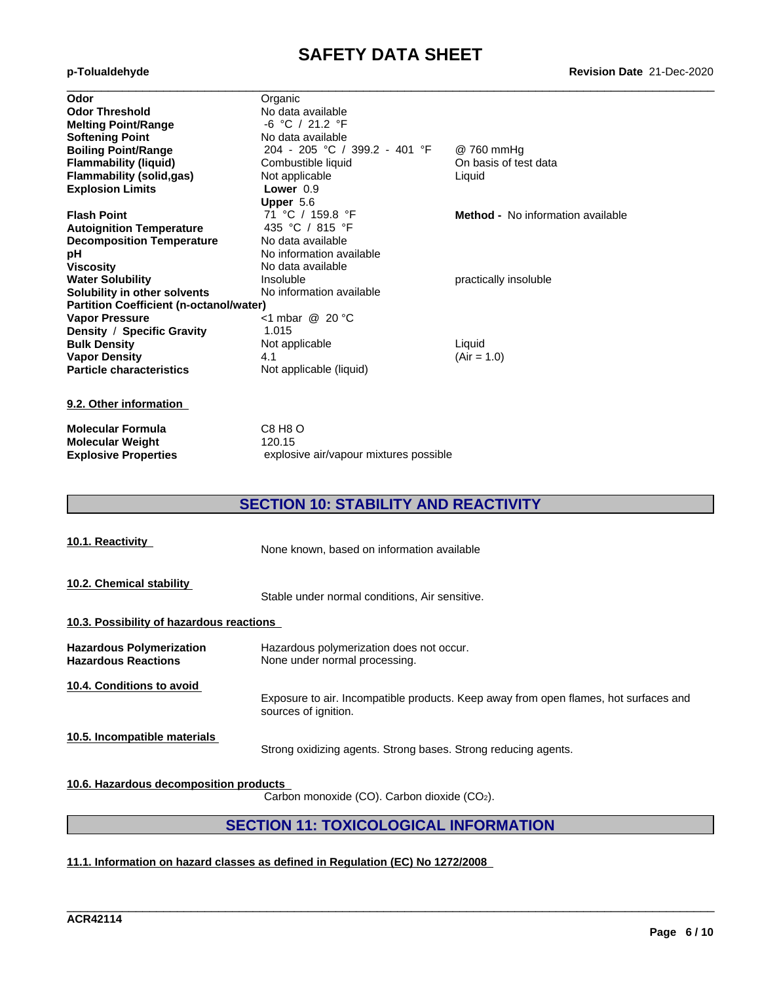#### **Revision Date** 21-Dec-2020

|  | p-Tolualdehyde |
|--|----------------|
|  |                |

| Odor                                           | Organic                       |                                   |  |
|------------------------------------------------|-------------------------------|-----------------------------------|--|
| <b>Odor Threshold</b>                          | No data available             |                                   |  |
| <b>Melting Point/Range</b>                     | -6 °C / 21.2 °F               |                                   |  |
| <b>Softening Point</b>                         | No data available             |                                   |  |
| <b>Boiling Point/Range</b>                     | 204 - 205 °C / 399.2 - 401 °F | @ 760 mmHg                        |  |
| <b>Flammability (liquid)</b>                   | Combustible liquid            | On basis of test data             |  |
| <b>Flammability (solid,gas)</b>                | Not applicable                | Liquid                            |  |
| <b>Explosion Limits</b>                        | Lower $0.9$                   |                                   |  |
|                                                | Upper 5.6                     |                                   |  |
| <b>Flash Point</b>                             | 71 °C / 159.8 °F              | Method - No information available |  |
| <b>Autoignition Temperature</b>                | 435 °C / 815 °F               |                                   |  |
| <b>Decomposition Temperature</b>               | No data available             |                                   |  |
| рH                                             | No information available      |                                   |  |
| <b>Viscosity</b>                               | No data available             |                                   |  |
| <b>Water Solubility</b>                        | Insoluble                     | practically insoluble             |  |
| Solubility in other solvents                   | No information available      |                                   |  |
| <b>Partition Coefficient (n-octanol/water)</b> |                               |                                   |  |
| <b>Vapor Pressure</b>                          | <1 mbar @ 20 $°C$             |                                   |  |
| Density / Specific Gravity                     | 1.015                         |                                   |  |
| <b>Bulk Density</b>                            | Not applicable                | Liquid                            |  |
| <b>Vapor Density</b>                           | 4.1                           | $(Air = 1.0)$                     |  |
| <b>Particle characteristics</b>                | Not applicable (liquid)       |                                   |  |
| 9.2. Other information                         |                               |                                   |  |
| <b>Molecular Formula</b>                       | C8 H8 O                       |                                   |  |

**Molecular Weight** 120.15

**Explosive Properties** explosive air/vapour mixtures possible

# **SECTION 10: STABILITY AND REACTIVITY**

| 10.1. Reactivity                                              | None known, based on information available                                                                   |
|---------------------------------------------------------------|--------------------------------------------------------------------------------------------------------------|
| 10.2. Chemical stability                                      | Stable under normal conditions, Air sensitive.                                                               |
| 10.3. Possibility of hazardous reactions                      |                                                                                                              |
| <b>Hazardous Polymerization</b><br><b>Hazardous Reactions</b> | Hazardous polymerization does not occur.<br>None under normal processing.                                    |
| 10.4. Conditions to avoid                                     | Exposure to air. Incompatible products. Keep away from open flames, hot surfaces and<br>sources of ignition. |
| 10.5. Incompatible materials                                  | Strong oxidizing agents. Strong bases. Strong reducing agents.                                               |
| 10.6. Hazardous decomposition products                        | Carbon monoxide (CO). Carbon dioxide (CO2).                                                                  |

# **SECTION 11: TOXICOLOGICAL INFORMATION**

\_\_\_\_\_\_\_\_\_\_\_\_\_\_\_\_\_\_\_\_\_\_\_\_\_\_\_\_\_\_\_\_\_\_\_\_\_\_\_\_\_\_\_\_\_\_\_\_\_\_\_\_\_\_\_\_\_\_\_\_\_\_\_\_\_\_\_\_\_\_\_\_\_\_\_\_\_\_\_\_\_\_\_\_\_\_\_\_\_\_\_\_\_\_

### **11.1. Information on hazard classes as defined in Regulation (EC) No 1272/2008**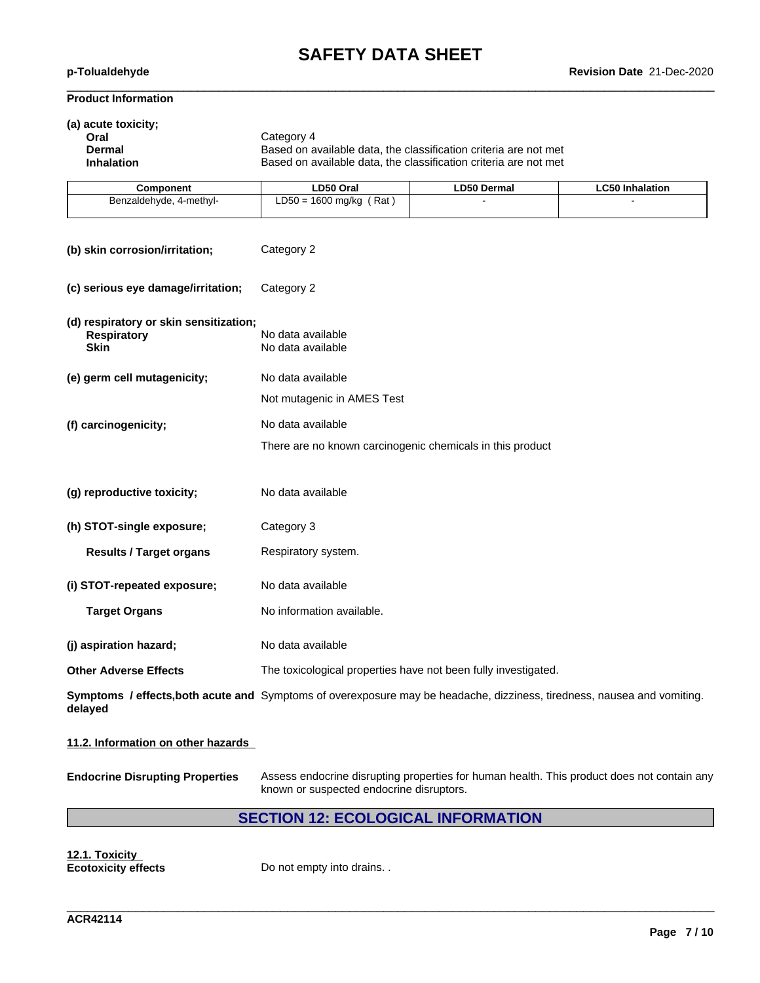$\_$  ,  $\_$  ,  $\_$  ,  $\_$  ,  $\_$  ,  $\_$  ,  $\_$  ,  $\_$  ,  $\_$  ,  $\_$  ,  $\_$  ,  $\_$  ,  $\_$  ,  $\_$  ,  $\_$  ,  $\_$  ,  $\_$  ,  $\_$  ,  $\_$  ,  $\_$  ,  $\_$  ,  $\_$  ,  $\_$  ,  $\_$  ,  $\_$  ,  $\_$  ,  $\_$  ,  $\_$  ,  $\_$  ,  $\_$  ,  $\_$  ,  $\_$  ,  $\_$  ,  $\_$  ,  $\_$  ,  $\_$  ,  $\_$  ,

### **Product Information**

| (a) acute toxicity;<br>Oral<br><b>Dermal</b><br><b>Inhalation</b>                                                                  | Category 4<br>Based on available data, the classification criteria are not met<br>Based on available data, the classification criteria are not met |             |                        |  |  |  |
|------------------------------------------------------------------------------------------------------------------------------------|----------------------------------------------------------------------------------------------------------------------------------------------------|-------------|------------------------|--|--|--|
| <b>Component</b>                                                                                                                   | LD50 Oral                                                                                                                                          | LD50 Dermal | <b>LC50 Inhalation</b> |  |  |  |
| Benzaldehyde, 4-methyl-                                                                                                            | $LD50 = 1600$ mg/kg (Rat)                                                                                                                          |             |                        |  |  |  |
| (b) skin corrosion/irritation;                                                                                                     | Category 2                                                                                                                                         |             |                        |  |  |  |
| (c) serious eye damage/irritation;                                                                                                 | Category 2                                                                                                                                         |             |                        |  |  |  |
| (d) respiratory or skin sensitization;<br><b>Respiratory</b><br><b>Skin</b>                                                        | No data available<br>No data available                                                                                                             |             |                        |  |  |  |
| (e) germ cell mutagenicity;                                                                                                        | No data available                                                                                                                                  |             |                        |  |  |  |
|                                                                                                                                    | Not mutagenic in AMES Test                                                                                                                         |             |                        |  |  |  |
| (f) carcinogenicity;                                                                                                               | No data available                                                                                                                                  |             |                        |  |  |  |
|                                                                                                                                    | There are no known carcinogenic chemicals in this product                                                                                          |             |                        |  |  |  |
| (g) reproductive toxicity;                                                                                                         | No data available                                                                                                                                  |             |                        |  |  |  |
| (h) STOT-single exposure;                                                                                                          | Category 3                                                                                                                                         |             |                        |  |  |  |
| <b>Results / Target organs</b>                                                                                                     | Respiratory system.                                                                                                                                |             |                        |  |  |  |
| (i) STOT-repeated exposure;                                                                                                        | No data available                                                                                                                                  |             |                        |  |  |  |
| <b>Target Organs</b>                                                                                                               | No information available.                                                                                                                          |             |                        |  |  |  |
| (j) aspiration hazard;                                                                                                             | No data available                                                                                                                                  |             |                        |  |  |  |
| <b>Other Adverse Effects</b>                                                                                                       | The toxicological properties have not been fully investigated.                                                                                     |             |                        |  |  |  |
| Symptoms / effects, both acute and Symptoms of overexposure may be headache, dizziness, tiredness, nausea and vomiting.<br>delayed |                                                                                                                                                    |             |                        |  |  |  |
|                                                                                                                                    |                                                                                                                                                    |             |                        |  |  |  |

### **11.2. Information on other hazards**

**Endocrine Disrupting Properties** Assess endocrine disrupting properties for human health. This product does not contain any known or suspected endocrine disruptors.

\_\_\_\_\_\_\_\_\_\_\_\_\_\_\_\_\_\_\_\_\_\_\_\_\_\_\_\_\_\_\_\_\_\_\_\_\_\_\_\_\_\_\_\_\_\_\_\_\_\_\_\_\_\_\_\_\_\_\_\_\_\_\_\_\_\_\_\_\_\_\_\_\_\_\_\_\_\_\_\_\_\_\_\_\_\_\_\_\_\_\_\_\_\_

# **SECTION 12: ECOLOGICAL INFORMATION**

**12.1. Toxicity**

Do not empty into drains. .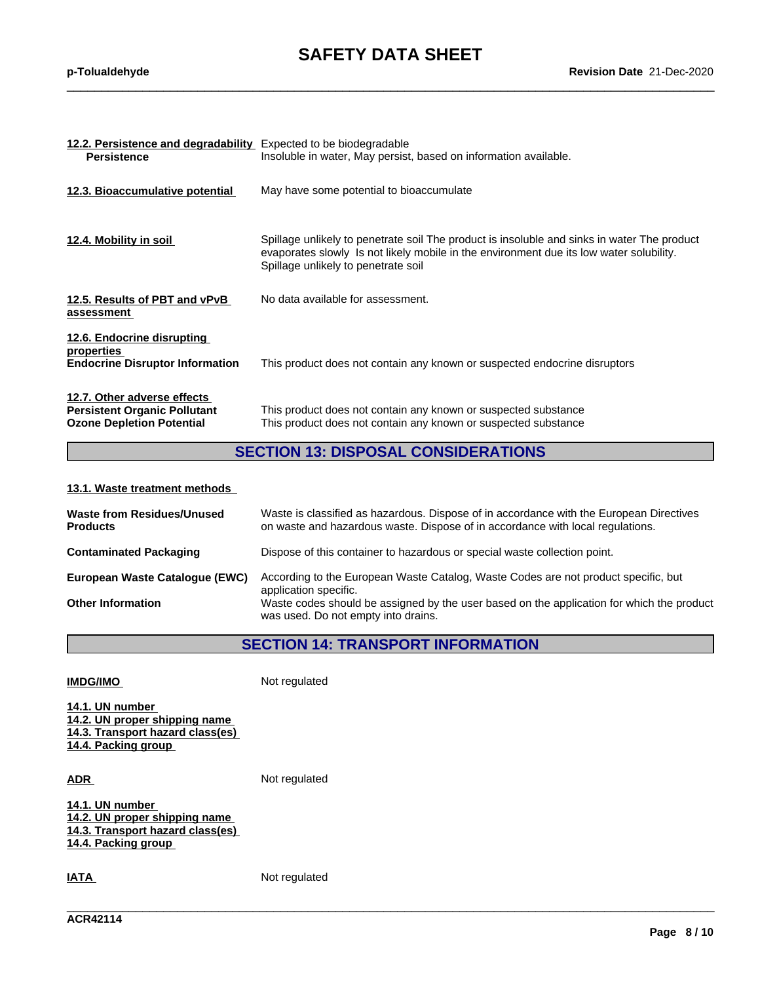$\_$  ,  $\_$  ,  $\_$  ,  $\_$  ,  $\_$  ,  $\_$  ,  $\_$  ,  $\_$  ,  $\_$  ,  $\_$  ,  $\_$  ,  $\_$  ,  $\_$  ,  $\_$  ,  $\_$  ,  $\_$  ,  $\_$  ,  $\_$  ,  $\_$  ,  $\_$  ,  $\_$  ,  $\_$  ,  $\_$  ,  $\_$  ,  $\_$  ,  $\_$  ,  $\_$  ,  $\_$  ,  $\_$  ,  $\_$  ,  $\_$  ,  $\_$  ,  $\_$  ,  $\_$  ,  $\_$  ,  $\_$  ,  $\_$  ,

| 12.2. Persistence and degradability Expected to be biodegradable                                       |                                                                                                                                                                                                                               |
|--------------------------------------------------------------------------------------------------------|-------------------------------------------------------------------------------------------------------------------------------------------------------------------------------------------------------------------------------|
| <b>Persistence</b>                                                                                     | Insoluble in water, May persist, based on information available.                                                                                                                                                              |
| 12.3. Bioaccumulative potential                                                                        | May have some potential to bioaccumulate                                                                                                                                                                                      |
| 12.4. Mobility in soil                                                                                 | Spillage unlikely to penetrate soil The product is insoluble and sinks in water The product<br>evaporates slowly Is not likely mobile in the environment due its low water solubility.<br>Spillage unlikely to penetrate soil |
| 12.5. Results of PBT and vPvB<br>assessment                                                            | No data available for assessment.                                                                                                                                                                                             |
| 12.6. Endocrine disrupting<br>properties<br><b>Endocrine Disruptor Information</b>                     | This product does not contain any known or suspected endocrine disruptors                                                                                                                                                     |
| 12.7. Other adverse effects<br><b>Persistent Organic Pollutant</b><br><b>Ozone Depletion Potential</b> | This product does not contain any known or suspected substance<br>This product does not contain any known or suspected substance                                                                                              |

## **SECTION 13: DISPOSAL CONSIDERATIONS**

#### **13.1. Waste treatment methods**

| <b>Waste from Residues/Unused</b><br><b>Products</b> | Waste is classified as hazardous. Dispose of in accordance with the European Directives<br>on waste and hazardous waste. Dispose of in accordance with local regulations. |
|------------------------------------------------------|---------------------------------------------------------------------------------------------------------------------------------------------------------------------------|
| <b>Contaminated Packaging</b>                        | Dispose of this container to hazardous or special waste collection point.                                                                                                 |
| European Waste Catalogue (EWC)                       | According to the European Waste Catalog, Waste Codes are not product specific, but<br>application specific.                                                               |
| <b>Other Information</b>                             | Waste codes should be assigned by the user based on the application for which the product<br>was used. Do not empty into drains.                                          |

# **SECTION 14: TRANSPORT INFORMATION**

\_\_\_\_\_\_\_\_\_\_\_\_\_\_\_\_\_\_\_\_\_\_\_\_\_\_\_\_\_\_\_\_\_\_\_\_\_\_\_\_\_\_\_\_\_\_\_\_\_\_\_\_\_\_\_\_\_\_\_\_\_\_\_\_\_\_\_\_\_\_\_\_\_\_\_\_\_\_\_\_\_\_\_\_\_\_\_\_\_\_\_\_\_\_

| <b>IMDG/IMO</b> |  |
|-----------------|--|
|                 |  |

**Not regulated** 

**14.1. UN number 14.2. UN proper shipping name 14.3. Transport hazard class(es) 14.4. Packing group**

**ADR** Not regulated

**14.1. UN number 14.2. UN proper shipping name 14.3. Transport hazard class(es) 14.4. Packing group**

**IATA** Not regulated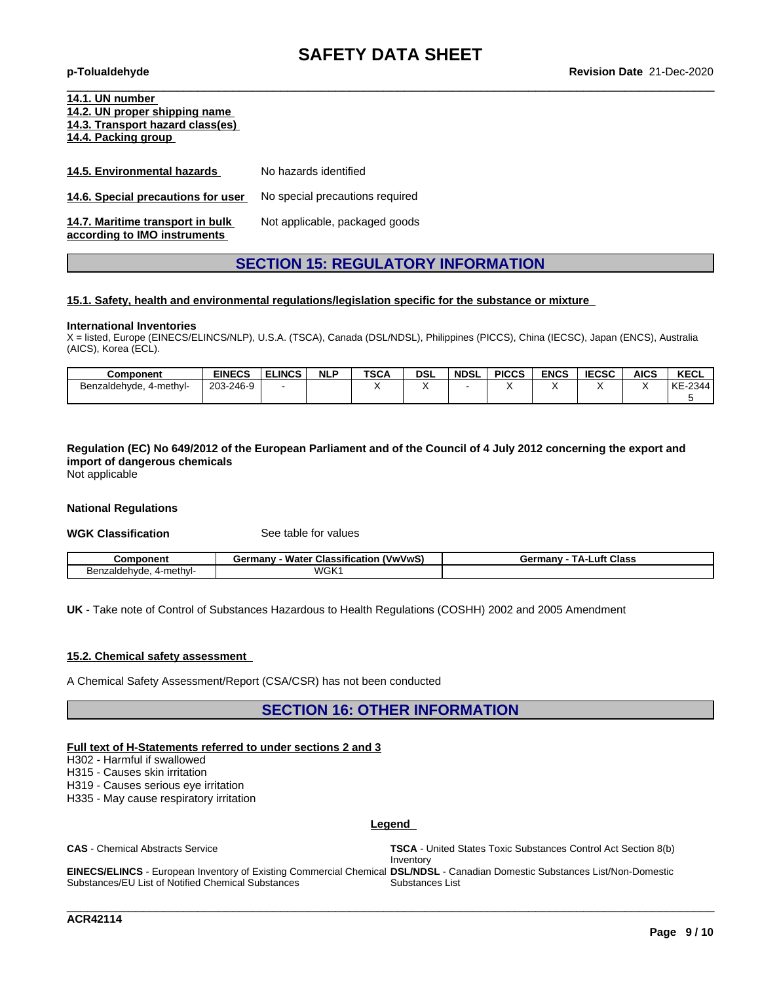| 14.1. UN number<br>14.2. UN proper shipping name<br>14.3. Transport hazard class(es)<br>14.4. Packing group |                                 |
|-------------------------------------------------------------------------------------------------------------|---------------------------------|
| 14.5. Environmental hazards                                                                                 | No hazards identified           |
| 14.6. Special precautions for user                                                                          | No special precautions required |
| 14.7. Maritime transport in bulk<br>according to IMO instruments                                            | Not applicable, packaged goods  |

### **SECTION 15: REGULATORY INFORMATION**

#### **15.1. Safety, health and environmental regulations/legislation specific for the substance or mixture**

#### **International Inventories**

X = listed, Europe (EINECS/ELINCS/NLP), U.S.A. (TSCA), Canada (DSL/NDSL), Philippines (PICCS), China (IECSC), Japan (ENCS), Australia (AICS), Korea (ECL).

| <b>Component</b>              | <b>EINECS</b>  | <b>ELINCS</b> | <b>NLP</b> | <b>TSCA</b> | <b>DSL</b> | <b>NDSL</b> | <b>PICCS</b> | <b>ENCS</b> | <b>IECSC</b> | <b>AICS</b> | <b>KECL</b> |
|-------------------------------|----------------|---------------|------------|-------------|------------|-------------|--------------|-------------|--------------|-------------|-------------|
| ., 4-methyl-<br>Benzaldehvde. | 3-246-9<br>203 |               |            |             |            |             | . .          |             |              |             | KE-2344     |
|                               |                |               |            |             |            |             |              |             |              |             |             |

Regulation (EC) No 649/2012 of the European Parliament and of the Council of 4 July 2012 concerning the export and **import of dangerous chemicals** Not applicable

#### **National Regulations**

**WGK Classification** See table for values

| ١m                                  | <br>.VwVwS`<br>Water<br>≧armanv<br>Classification<br>шаг | <b>Class</b><br>uft<br>$-$ mu $-$<br>A-I<br>. пан<br>vс |
|-------------------------------------|----------------------------------------------------------|---------------------------------------------------------|
| 4-methyl-<br>H≏r<br>aic:<br>αe<br>w | <b>WGK</b>                                               |                                                         |

**UK** - Take note of Control of Substances Hazardous to Health Regulations (COSHH) 2002 and 2005 Amendment

#### **15.2. Chemical safety assessment**

A Chemical Safety Assessment/Report (CSA/CSR) has not been conducted

**SECTION 16: OTHER INFORMATION**

#### **Full text of H-Statements referred to undersections 2 and 3**

H302 - Harmful if swallowed

H315 - Causes skin irritation

H319 - Causes serious eye irritation

H335 - May cause respiratory irritation

#### **Legend**

**CAS** - Chemical Abstracts Service **TSCA** - United States Toxic Substances Control Act Section 8(b)

Inventory

\_\_\_\_\_\_\_\_\_\_\_\_\_\_\_\_\_\_\_\_\_\_\_\_\_\_\_\_\_\_\_\_\_\_\_\_\_\_\_\_\_\_\_\_\_\_\_\_\_\_\_\_\_\_\_\_\_\_\_\_\_\_\_\_\_\_\_\_\_\_\_\_\_\_\_\_\_\_\_\_\_\_\_\_\_\_\_\_\_\_\_\_\_\_

**EINECS/ELINCS** - European Inventory of Existing Commercial Chemical **DSL/NDSL** - Canadian Domestic Substances List/Non-Domestic Substances/EU List of Notified Chemical Substances Substances List